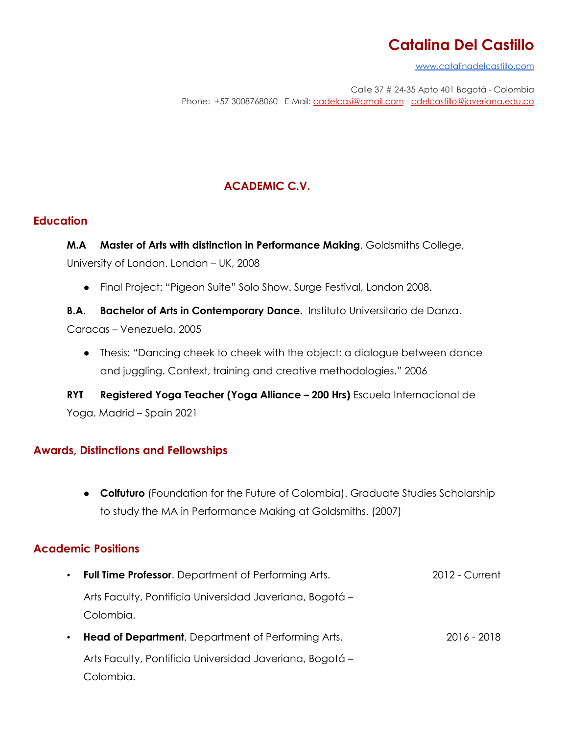[www.catalinadelcastillo.com](http://www.catalinadelcastillo.com)

Calle 37 # 24-35 Apto 401 Bogotá - Colombia Phone: +57 3008768060 E-Mail: [cadelcasi@gmail.com](mailto:cadelcasi@gmail.com) - [cdelcastillo@javeriana.edu.co](mailto:cdelcastillo@javeriana.edu.co)

## **ACADEMIC C.V.**

#### **Education**

**M.A Master of Arts with distinction in Performance Making**. Goldsmiths College, University of London. London – UK, 2008

● Final Project: "Pigeon Suite" Solo Show. Surge Festival, London 2008.

**B.A. Bachelor of Arts in Contemporary Dance.** Instituto Universitario de Danza. Caracas – Venezuela. 2005

● Thesis: "Dancing cheek to cheek with the object: a dialogue between dance and juggling. Context, training and creative methodologies." 2006

**RYT Registered Yoga Teacher (Yoga Alliance – 200 Hrs)** Escuela Internacional de Yoga. Madrid – Spain 2021

### **Awards, Distinctions and Fellowships**

● **Colfuturo** (Foundation for the Future of Colombia). Graduate Studies Scholarship to study the MA in Performance Making at Goldsmiths. (2007)

## **Academic Positions**

| $\bullet$ | <b>Full Time Professor.</b> Department of Performing Arts.            | 2012 - Current |
|-----------|-----------------------------------------------------------------------|----------------|
|           | Arts Faculty, Pontificia Universidad Javeriana, Bogotá -<br>Colombia. |                |
|           | Head of Department, Department of Performing Arts.                    | 2016 - 2018    |
|           | Arts Faculty, Pontificia Universidad Javeriana, Bogotá -              |                |
|           |                                                                       |                |

Colombia.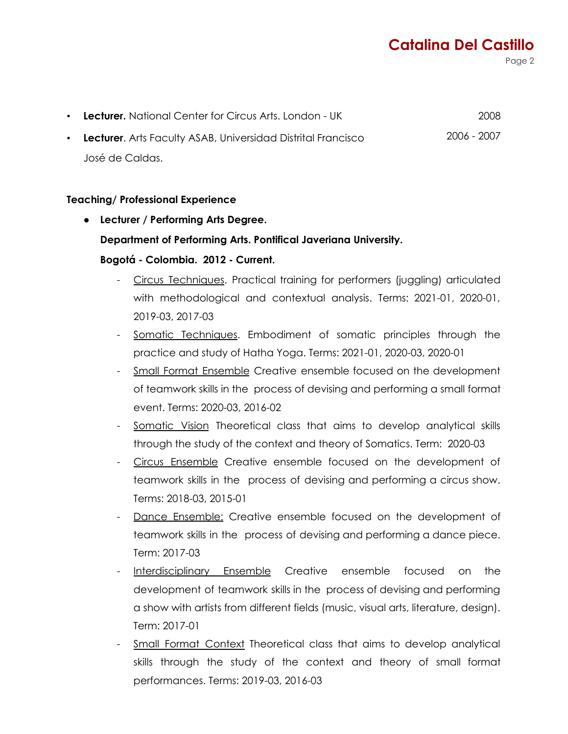Page 2

| • Lecturer. National Center for Circus Arts. London - UK       | 2008        |
|----------------------------------------------------------------|-------------|
| • Lecturer. Arts Faculty ASAB, Universidad Distrital Francisco | 2006 - 2007 |
| José de Caldas.                                                |             |

#### **Teaching/ Professional Experience**

- **● Lecturer / Performing Arts Degree. Department of Performing Arts. Pontifical Javeriana University. Bogotá - Colombia. 2012 - Current.**
	- Circus Techniques. Practical training for performers (juggling) articulated with methodological and contextual analysis. Terms: 2021-01, 2020-01, 2019-03, 2017-03
	- Somatic Techniques. Embodiment of somatic principles through the practice and study of Hatha Yoga. Terms: 2021-01, 2020-03, 2020-01
	- Small Format Ensemble Creative ensemble focused on the development of teamwork skills in the process of devising and performing a small format event. Terms: 2020-03, 2016-02
	- Somatic Vision Theoretical class that aims to develop analytical skills through the study of the context and theory of Somatics. Term: 2020-03
	- Circus Ensemble Creative ensemble focused on the development of teamwork skills in the process of devising and performing a circus show. Terms: 2018-03, 2015-01
	- Dance Ensemble: Creative ensemble focused on the development of teamwork skills in the process of devising and performing a dance piece. Term: 2017-03
	- Interdisciplinary Ensemble Creative ensemble focused on the development of teamwork skills in the process of devising and performing a show with artists from different fields (music, visual arts, literature, design). Term: 2017-01
	- Small Format Context Theoretical class that aims to develop analytical skills through the study of the context and theory of small format performances. Terms: 2019-03, 2016-03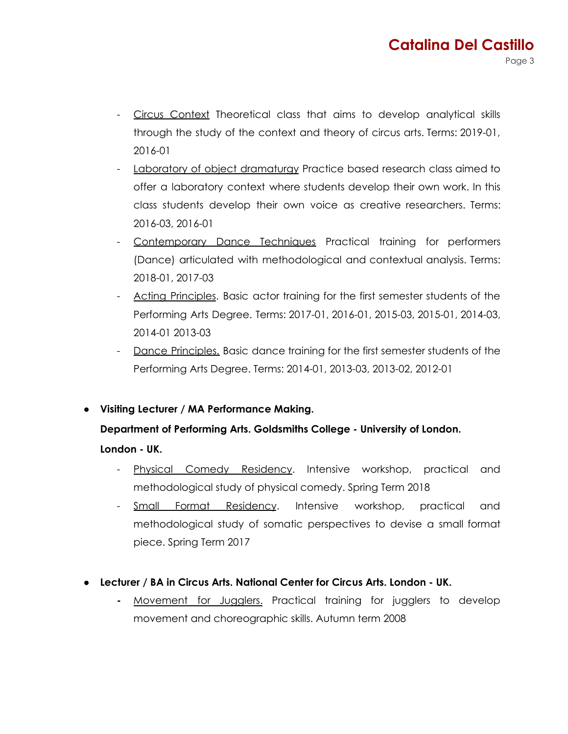- Circus Context Theoretical class that aims to develop analytical skills through the study of the context and theory of circus arts. Terms: 2019-01, 2016-01
- Laboratory of object dramaturgy Practice based research class aimed to offer a laboratory context where students develop their own work. In this class students develop their own voice as creative researchers. Terms: 2016-03, 2016-01
- Contemporary Dance Techniques Practical training for performers (Dance) articulated with methodological and contextual analysis. Terms: 2018-01, 2017-03
- Acting Principles. Basic actor training for the first semester students of the Performing Arts Degree. Terms: 2017-01, 2016-01, 2015-03, 2015-01, 2014-03, 2014-01 2013-03
- Dance Principles. Basic dance training for the first semester students of the Performing Arts Degree. Terms: 2014-01, 2013-03, 2013-02, 2012-01
- **Visiting Lecturer / MA Performance Making.**

## **Department of Performing Arts. Goldsmiths College - University of London.**

**London - UK.**

- Physical Comedy Residency. Intensive workshop, practical and methodological study of physical comedy. Spring Term 2018
- Small Format Residency. Intensive workshop, practical and methodological study of somatic perspectives to devise a small format piece. Spring Term 2017
- **Lecturer / BA in Circus Arts. National Center for Circus Arts. London - UK.**
	- **-** Movement for Jugglers. Practical training for jugglers to develop movement and choreographic skills. Autumn term 2008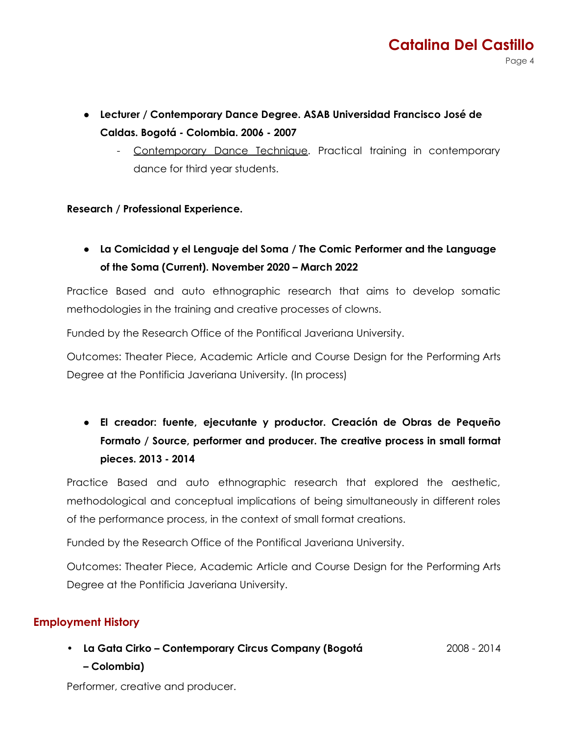- **Lecturer / Contemporary Dance Degree. ASAB Universidad Francisco José de Caldas. Bogotá - Colombia. 2006 - 2007**
	- Contemporary Dance Technique. Practical training in contemporary dance for third year students.

#### **Research / Professional Experience.**

**● La Comicidad y el Lenguaje del Soma / The Comic Performer and the Language of the Soma (Current). November 2020 – March 2022**

Practice Based and auto ethnographic research that aims to develop somatic methodologies in the training and creative processes of clowns.

Funded by the Research Office of the Pontifical Javeriana University.

Outcomes: Theater Piece, Academic Article and Course Design for the Performing Arts Degree at the Pontificia Javeriana University. (In process)

**● El creador: fuente, ejecutante y productor. Creación de Obras de Pequeño Formato / Source, performer and producer. The creative process in small format pieces. 2013 - 2014**

Practice Based and auto ethnographic research that explored the aesthetic, methodological and conceptual implications of being simultaneously in different roles of the performance process, in the context of small format creations.

Funded by the Research Office of the Pontifical Javeriana University.

Outcomes: Theater Piece, Academic Article and Course Design for the Performing Arts Degree at the Pontificia Javeriana University.

#### **Employment History**

**• La Gata Cirko – Contemporary Circus Company (Bogotá – Colombia)** 2008 - 2014

Performer, creative and producer.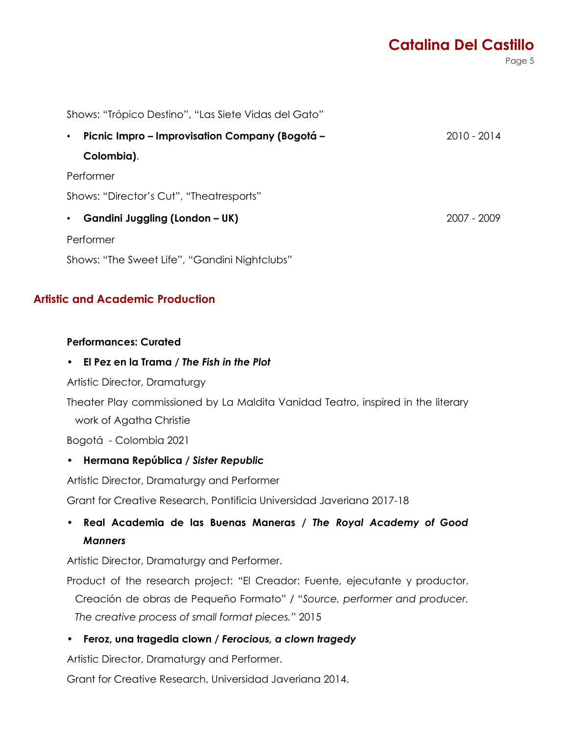Page 5

| Shows: "Trópico Destino", "Las Siete Vidas del Gato"        |               |  |
|-------------------------------------------------------------|---------------|--|
| Picnic Impro – Improvisation Company (Bogotá –<br>$\bullet$ | $2010 - 2014$ |  |
| Colombia).                                                  |               |  |
| Performer                                                   |               |  |
| Shows: "Director's Cut", "Theatresports"                    |               |  |
| Gandini Juggling (London – UK)<br>٠                         | 2007 - 2009   |  |
| Performer                                                   |               |  |

Shows: "The Sweet Life", "Gandini Nightclubs"

#### **Artistic and Academic Production**

#### **Performances: Curated**

#### **• El Pez en la Trama /** *The Fish in the Plot*

Artistic Director, Dramaturgy

Theater Play commissioned by La Maldita Vanidad Teatro, inspired in the literary work of Agatha Christie

Bogotá - Colombia 2021

#### **• Hermana República /** *Sister Republic*

Artistic Director, Dramaturgy and Performer

Grant for Creative Research, Pontificia Universidad Javeriana 2017-18

## *•* **Real Academia de las Buenas Maneras /** *The Royal Academy of Good Manners*

Artistic Director, Dramaturgy and Performer.

Product of the research project: "El Creador: Fuente, ejecutante y productor. Creación de obras de Pequeño Formato" / "*Source, performer and producer. The creative process of small format pieces."* 2015

**• Feroz, una tragedia clown /** *Ferocious, a clown tragedy*

Artistic Director, Dramaturgy and Performer.

Grant for Creative Research, Universidad Javeriana 2014.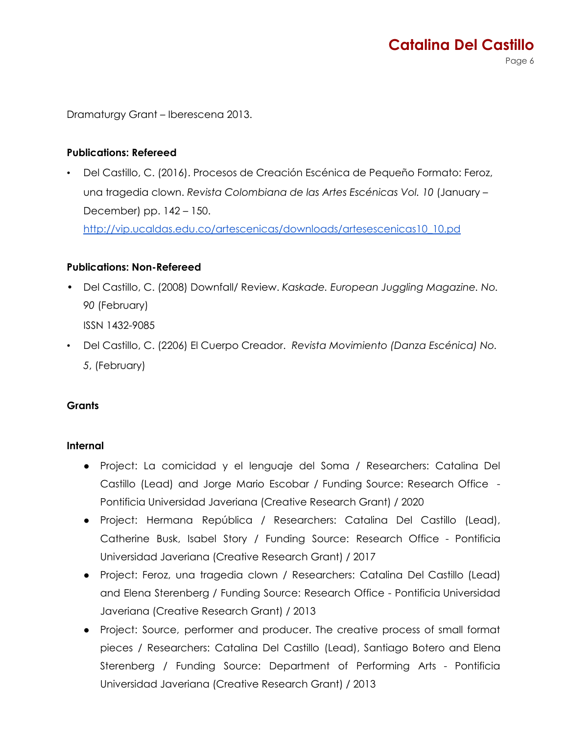Page 6

Dramaturgy Grant – Iberescena 2013.

### **Publications: Refereed**

• Del Castillo, C. (2016). Procesos de Creación Escénica de Pequeño Formato: Feroz, una tragedia clown. *Revista Colombiana de las Artes Escénicas Vol. 10* (January – December) pp. 142 – 150. [http://vip.ucaldas.edu.co/artescenicas/downloads/artesescenicas10\\_10.pd](http://vip.ucaldas.edu.co/artescenicas/downloads/artesescenicas10_10.pdf)

#### **Publications: Non-Refereed**

• Del Castillo, C. (2008) Downfall/ Review. *Kaskade. European Juggling Magazine. No. 90* (February)

ISSN 1432-9085

• Del Castillo, C. (2206) El Cuerpo Creador. *Revista Movimiento (Danza Escénica) No. 5*, (February)

#### **Grants**

#### **Internal**

- Project: La comicidad y el lenguaje del Soma / Researchers: Catalina Del Castillo (Lead) and Jorge Mario Escobar / Funding Source: Research Office - Pontificia Universidad Javeriana (Creative Research Grant) / 2020
- Project: Hermana República / Researchers: Catalina Del Castillo (Lead), Catherine Busk, Isabel Story / Funding Source: Research Office - Pontificia Universidad Javeriana (Creative Research Grant) / 2017
- Project: Feroz, una tragedia clown / Researchers: Catalina Del Castillo (Lead) and Elena Sterenberg / Funding Source: Research Office - Pontificia Universidad Javeriana (Creative Research Grant) / 2013
- Project: Source, performer and producer. The creative process of small format pieces / Researchers: Catalina Del Castillo (Lead), Santiago Botero and Elena Sterenberg / Funding Source: Department of Performing Arts - Pontificia Universidad Javeriana (Creative Research Grant) / 2013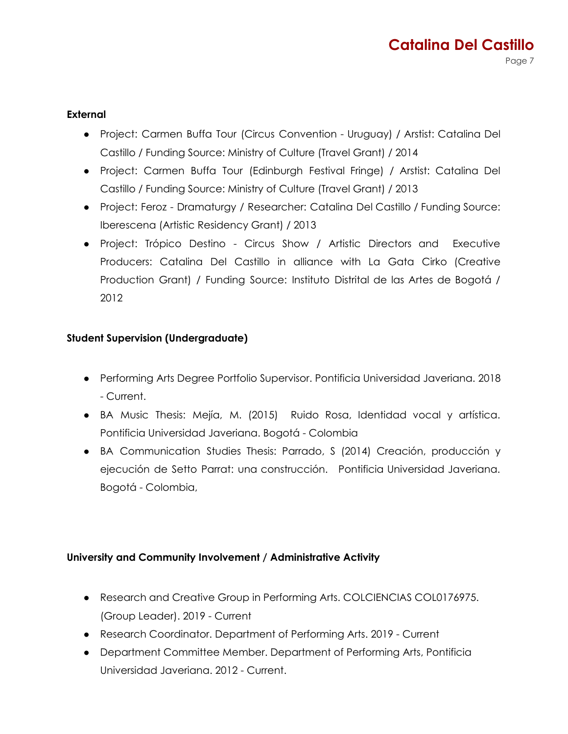#### **External**

- Project: Carmen Buffa Tour (Circus Convention Uruguay) / Arstist: Catalina Del Castillo / Funding Source: Ministry of Culture (Travel Grant) / 2014
- Project: Carmen Buffa Tour (Edinburgh Festival Fringe) / Arstist: Catalina Del Castillo / Funding Source: Ministry of Culture (Travel Grant) / 2013
- Project: Feroz Dramaturgy / Researcher: Catalina Del Castillo / Funding Source: Iberescena (Artistic Residency Grant) / 2013
- Project: Trópico Destino Circus Show / Artistic Directors and Executive Producers: Catalina Del Castillo in alliance with La Gata Cirko (Creative Production Grant) / Funding Source: Instituto Distrital de las Artes de Bogotá / 2012

#### **Student Supervision (Undergraduate)**

- Performing Arts Degree Portfolio Supervisor. Pontificia Universidad Javeriana. 2018 - Current.
- BA Music Thesis: Mejía, M. (2015) Ruido Rosa, Identidad vocal y artística. Pontificia Universidad Javeriana. Bogotá - Colombia
- BA Communication Studies Thesis: Parrado, S (2014) Creación, producción y ejecución de Setto Parrat: una construcción. Pontificia Universidad Javeriana. Bogotá - Colombia,

#### **University and Community Involvement / Administrative Activity**

- Research and Creative Group in Performing Arts. COLCIENCIAS COL0176975. (Group Leader). 2019 - Current
- Research Coordinator. Department of Performing Arts. 2019 Current
- Department Committee Member. Department of Performing Arts, Pontificia Universidad Javeriana. 2012 - Current.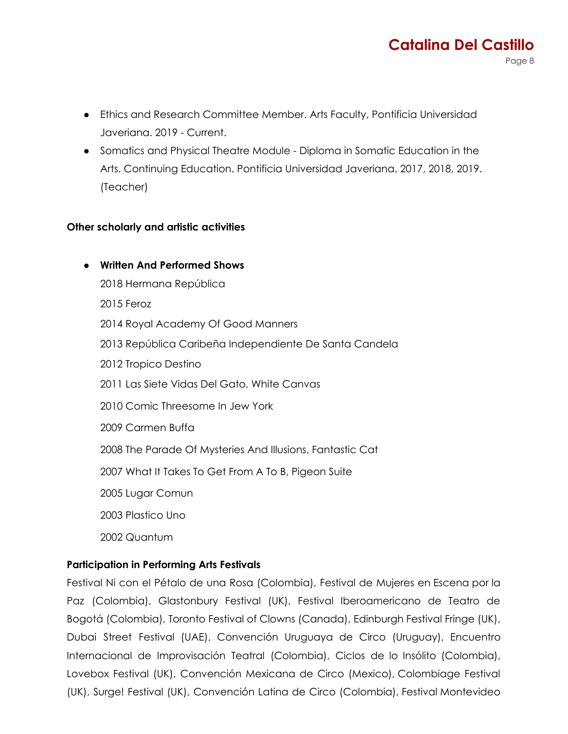- Ethics and Research Committee Member. Arts Faculty, Pontificia Universidad Javeriana. 2019 - Current.
- Somatics and Physical Theatre Module Diploma in Somatic Education in the Arts. Continuing Education. Pontificia Universidad Javeriana. 2017, 2018, 2019. (Teacher)

### **Other scholarly and artistic activities**

**● Written And Performed Shows** Hermana República 2015 Feroz Royal Academy Of Good Manners República Caribeña Independiente De Santa Candela Tropico Destino Las Siete Vidas Del Gato, White Canvas Comic Threesome In Jew York Carmen Buffa The Parade Of Mysteries And Illusions, Fantastic Cat What It Takes To Get From A To B, Pigeon Suite Lugar Comun Plastico Uno 2002 Quantum

## **Participation in Performing Arts Festivals**

Festival Ni con el Pétalo de una Rosa (Colombia), Festival de Mujeres en Escena por la Paz (Colombia), Glastonbury Festival (UK), Festival Iberoamericano de Teatro de Bogotá (Colombia), Toronto Festival of Clowns (Canada), Edinburgh Festival Fringe (UK), Dubai Street Festival (UAE), Convención Uruguaya de Circo (Uruguay), Encuentro Internacional de Improvisación Teatral (Colombia), Ciclos de lo Insólito (Colombia), Lovebox Festival (UK), Convención Mexicana de Circo (Mexico), Colombiage Festival (UK), Surge! Festival (UK), Convención Latina de Circo (Colombia), Festival Montevideo